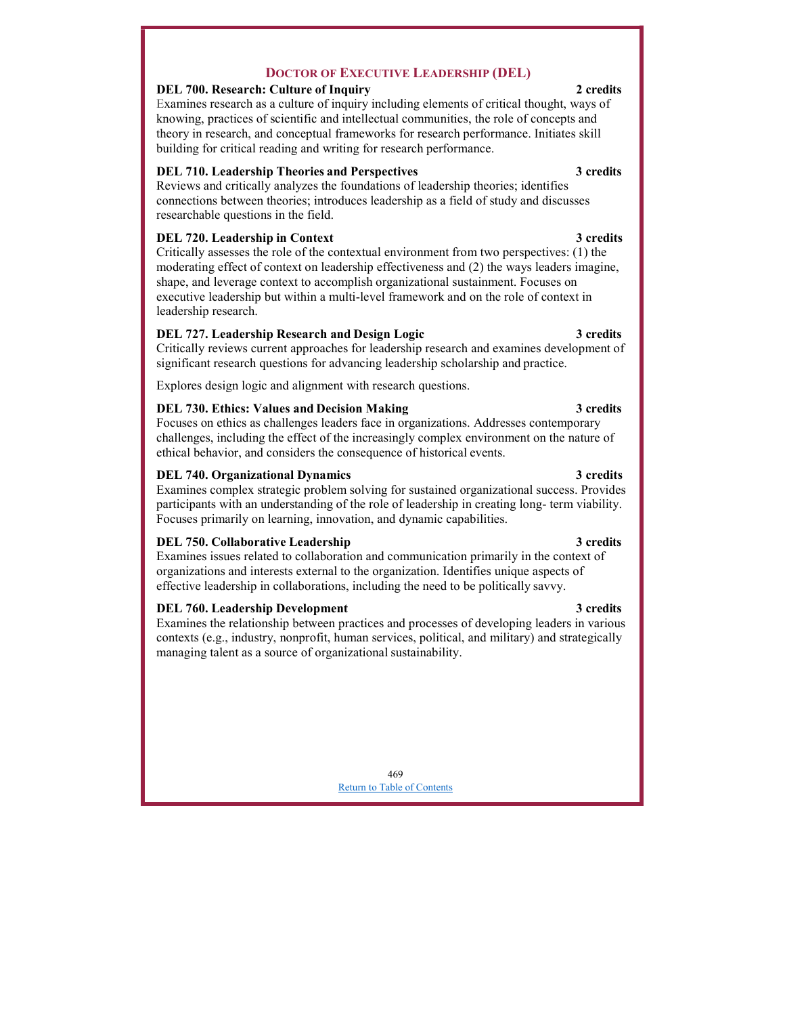# Return to Table of Contents

# 469

Examines the relationship between practices and processes of developing leaders in various contexts (e.g., industry, nonprofit, human services, political, and military) and strategically managing talent as a source of organizational sustainability.

DEL 760. Leadership Development 3 credits 3 3 credits

DEL 740. Organizational Dynamics 3 credits

Critically reviews current approaches for leadership research and examines development of significant research questions for advancing leadership scholarship and practice.

Explores design logic and alignment with research questions.

# DEL 730. Ethics: Values and Decision Making 3 credits 3 credits

Focuses on ethics as challenges leaders face in organizations. Addresses contemporary challenges, including the effect of the increasingly complex environment on the nature of ethical behavior, and considers the consequence of historical events.

Examines complex strategic problem solving for sustained organizational success. Provides participants with an understanding of the role of leadership in creating long- term viability. Focuses primarily on learning, innovation, and dynamic capabilities.

# DEL 750. Collaborative Leadership 3 credits 3 credits

Examines issues related to collaboration and communication primarily in the context of organizations and interests external to the organization. Identifies unique aspects of effective leadership in collaborations, including the need to be politically savvy.

# DOCTOR OF EXECUTIVE LEADERSHIP (DEL)

### DEL 700. Research: Culture of Inquiry 2 credits 2

Examines research as a culture of inquiry including elements of critical thought, ways of knowing, practices of scientific and intellectual communities, the role of concepts and theory in research, and conceptual frameworks for research performance. Initiates skill building for critical reading and writing for research performance.

# DEL 710. Leadership Theories and Perspectives 3 credits 3 credits

Reviews and critically analyzes the foundations of leadership theories; identifies connections between theories; introduces leadership as a field of study and discusses researchable questions in the field.

# DEL 720. Leadership in Context 3 credits

Critically assesses the role of the contextual environment from two perspectives: (1) the moderating effect of context on leadership effectiveness and (2) the ways leaders imagine, shape, and leverage context to accomplish organizational sustainment. Focuses on executive leadership but within a multi-level framework and on the role of context in leadership research.

# DEL 727. Leadership Research and Design Logic 3 credits 3 credits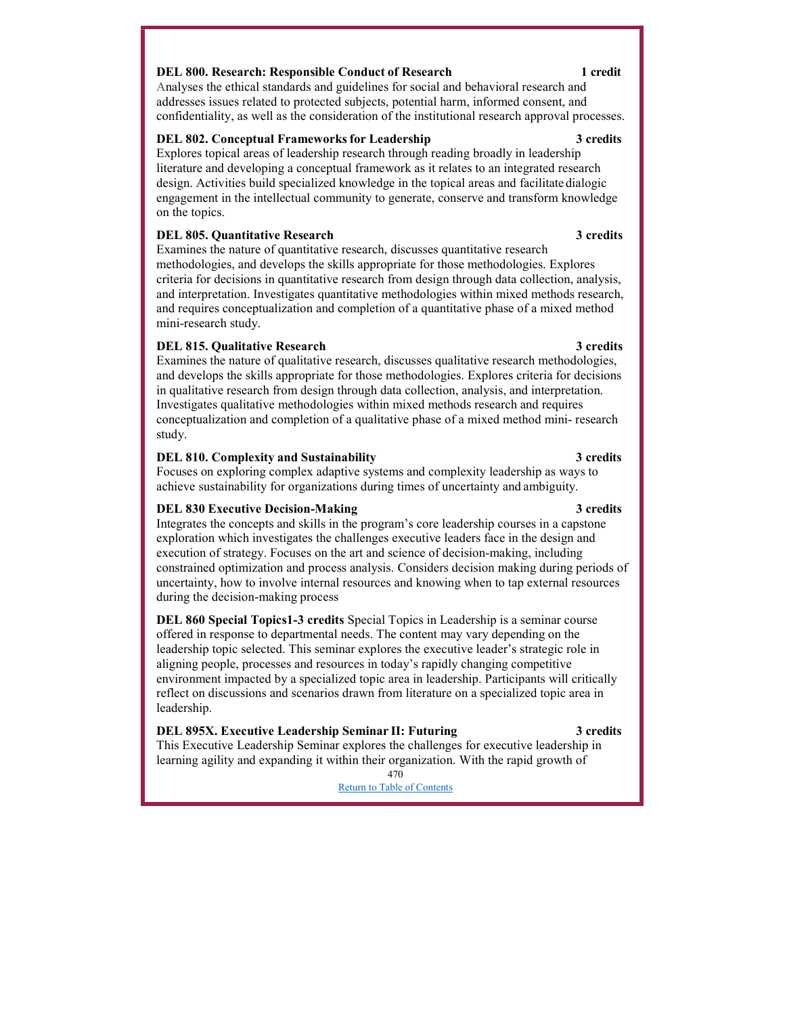# DEL 800. Research: Responsible Conduct of Research 1 credit

Analyses the ethical standards and guidelines for social and behavioral research and addresses issues related to protected subjects, potential harm, informed consent, and confidentiality, as well as the consideration of the institutional research approval processes.

### DEL 802. Conceptual Frameworks for Leadership 3 credits 3 credits

Explores topical areas of leadership research through reading broadly in leadership literature and developing a conceptual framework as it relates to an integrated research design. Activities build specialized knowledge in the topical areas and facilitate dialogic engagement in the intellectual community to generate, conserve and transform knowledge on the topics.

## DEL 805. Quantitative Research 3 credits

Examines the nature of quantitative research, discusses quantitative research methodologies, and develops the skills appropriate for those methodologies. Explores criteria for decisions in quantitative research from design through data collection, analysis, and interpretation. Investigates quantitative methodologies within mixed methods research, and requires conceptualization and completion of a quantitative phase of a mixed method mini-research study.

### DEL 815. Qualitative Research 3 credits

Examines the nature of qualitative research, discusses qualitative research methodologies, and develops the skills appropriate for those methodologies. Explores criteria for decisions in qualitative research from design through data collection, analysis, and interpretation. Investigates qualitative methodologies within mixed methods research and requires conceptualization and completion of a qualitative phase of a mixed method mini- research study.

### DEL 810. Complexity and Sustainability 3 credits 3 credits

Focuses on exploring complex adaptive systems and complexity leadership as ways to achieve sustainability for organizations during times of uncertainty and ambiguity.

### DEL 830 Executive Decision-Making 3 credits

Integrates the concepts and skills in the program's core leadership courses in a capstone exploration which investigates the challenges executive leaders face in the design and execution of strategy. Focuses on the art and science of decision-making, including constrained optimization and process analysis. Considers decision making during periods of uncertainty, how to involve internal resources and knowing when to tap external resources during the decision-making process

DEL 860 Special Topics1-3 credits Special Topics in Leadership is a seminar course offered in response to departmental needs. The content may vary depending on the leadership topic selected. This seminar explores the executive leader's strategic role in aligning people, processes and resources in today's rapidly changing competitive environment impacted by a specialized topic area in leadership. Participants will critically reflect on discussions and scenarios drawn from literature on a specialized topic area in leadership.

### DEL 895X. Executive Leadership Seminar II: Futuring 3 credits

# This Executive Leadership Seminar explores the challenges for executive leadership in learning agility and expanding it within their organization. With the rapid growth of

470 Return to Table of Contents